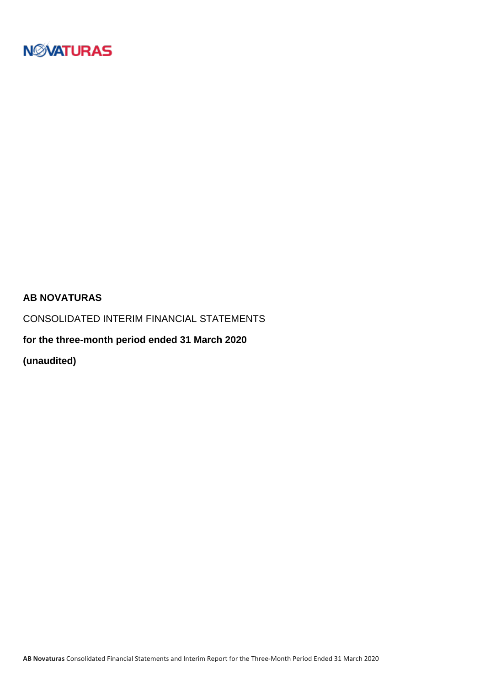

### **AB NOVATURAS**

CONSOLIDATED INTERIM FINANCIAL STATEMENTS

**for the three-month period ended 31 March 2020**

**(unaudited)**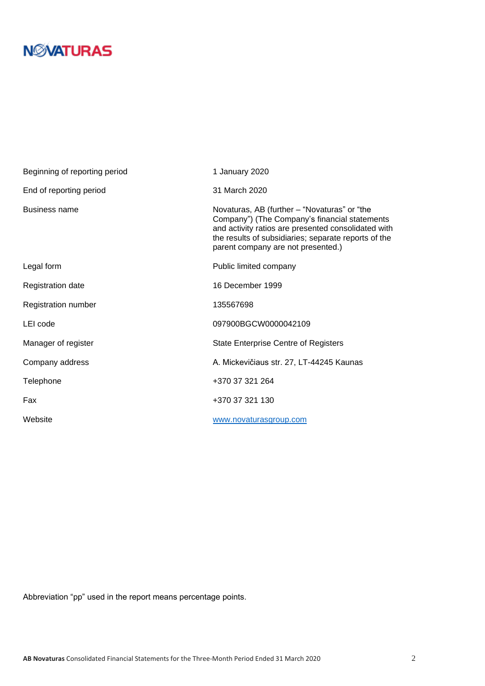| Beginning of reporting period | 1 January 2020                                                                                                                                                                                                                                     |
|-------------------------------|----------------------------------------------------------------------------------------------------------------------------------------------------------------------------------------------------------------------------------------------------|
| End of reporting period       | 31 March 2020                                                                                                                                                                                                                                      |
| <b>Business name</b>          | Novaturas, AB (further – "Novaturas" or "the<br>Company") (The Company's financial statements<br>and activity ratios are presented consolidated with<br>the results of subsidiaries; separate reports of the<br>parent company are not presented.) |
| Legal form                    | Public limited company                                                                                                                                                                                                                             |
| Registration date             | 16 December 1999                                                                                                                                                                                                                                   |
| Registration number           | 135567698                                                                                                                                                                                                                                          |
| LEI code                      | 097900BGCW0000042109                                                                                                                                                                                                                               |
| Manager of register           | <b>State Enterprise Centre of Registers</b>                                                                                                                                                                                                        |
| Company address               | A. Mickevičiaus str. 27, LT-44245 Kaunas                                                                                                                                                                                                           |
| Telephone                     | +370 37 321 264                                                                                                                                                                                                                                    |
| Fax                           | +370 37 321 130                                                                                                                                                                                                                                    |
| Website                       | www.novaturasgroup.com                                                                                                                                                                                                                             |

Abbreviation "pp" used in the report means percentage points.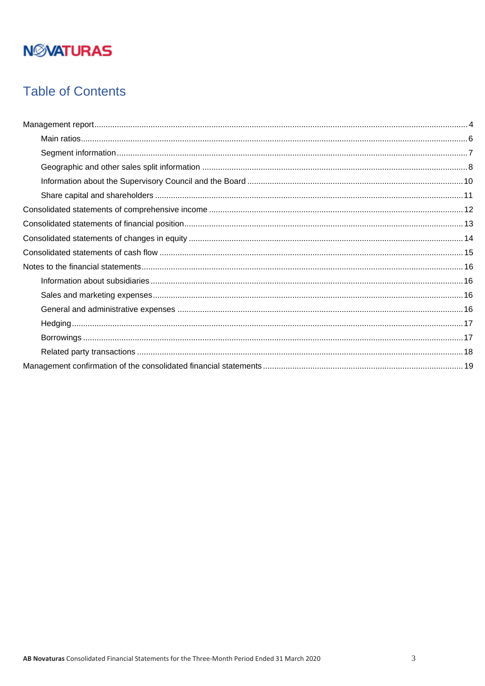## **Table of Contents**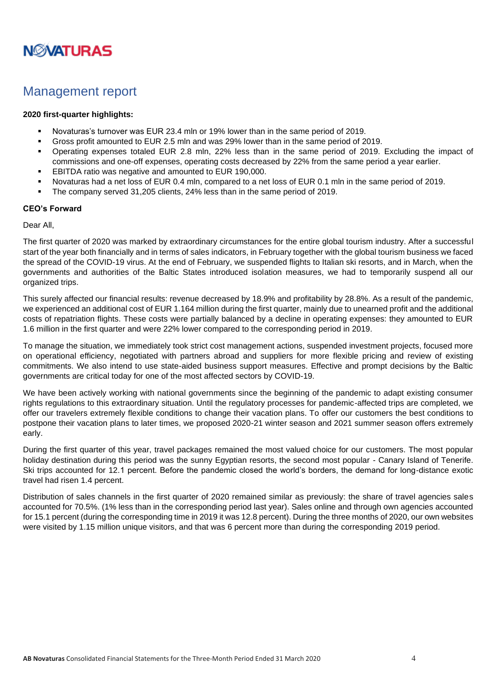

### <span id="page-3-0"></span>Management report

#### **2020 first-quarter highlights:**

- Novaturas's turnover was EUR 23.4 mln or 19% lower than in the same period of 2019.
- Gross profit amounted to EUR 2.5 mln and was 29% lower than in the same period of 2019.
- Operating expenses totaled EUR 2.8 mln, 22% less than in the same period of 2019. Excluding the impact of commissions and one-off expenses, operating costs decreased by 22% from the same period a year earlier.
- EBITDA ratio was negative and amounted to EUR 190,000.
- Novaturas had a net loss of EUR 0.4 mln, compared to a net loss of EUR 0.1 mln in the same period of 2019.
- The company served 31,205 clients, 24% less than in the same period of 2019.

#### **CEO's Forward**

#### Dear All,

The first quarter of 2020 was marked by extraordinary circumstances for the entire global tourism industry. After a successful start of the year both financially and in terms of sales indicators, in February together with the global tourism business we faced the spread of the COVID-19 virus. At the end of February, we suspended flights to Italian ski resorts, and in March, when the governments and authorities of the Baltic States introduced isolation measures, we had to temporarily suspend all our organized trips.

This surely affected our financial results: revenue decreased by 18.9% and profitability by 28.8%. As a result of the pandemic, we experienced an additional cost of EUR 1.164 million during the first quarter, mainly due to unearned profit and the additional costs of repatriation flights. These costs were partially balanced by a decline in operating expenses: they amounted to EUR 1.6 million in the first quarter and were 22% lower compared to the corresponding period in 2019.

To manage the situation, we immediately took strict cost management actions, suspended investment projects, focused more on operational efficiency, negotiated with partners abroad and suppliers for more flexible pricing and review of existing commitments. We also intend to use state-aided business support measures. Effective and prompt decisions by the Baltic governments are critical today for one of the most affected sectors by COVID-19.

We have been actively working with national governments since the beginning of the pandemic to adapt existing consumer rights regulations to this extraordinary situation. Until the regulatory processes for pandemic-affected trips are completed, we offer our travelers extremely flexible conditions to change their vacation plans. To offer our customers the best conditions to postpone their vacation plans to later times, we proposed 2020-21 winter season and 2021 summer season offers extremely early.

During the first quarter of this year, travel packages remained the most valued choice for our customers. The most popular holiday destination during this period was the sunny Egyptian resorts, the second most popular - Canary Island of Tenerife. Ski trips accounted for 12.1 percent. Before the pandemic closed the world's borders, the demand for long-distance exotic travel had risen 1.4 percent.

Distribution of sales channels in the first quarter of 2020 remained similar as previously: the share of travel agencies sales accounted for 70.5%. (1% less than in the corresponding period last year). Sales online and through own agencies accounted for 15.1 percent (during the corresponding time in 2019 it was 12.8 percent). During the three months of 2020, our own websites were visited by 1.15 million unique visitors, and that was 6 percent more than during the corresponding 2019 period.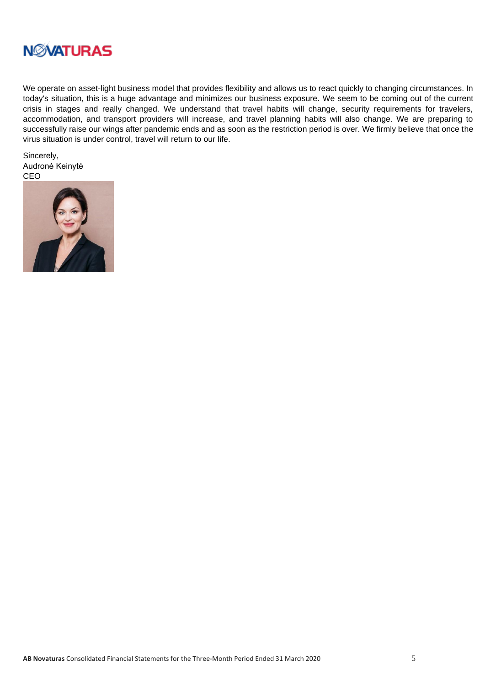

We operate on asset-light business model that provides flexibility and allows us to react quickly to changing circumstances. In today's situation, this is a huge advantage and minimizes our business exposure. We seem to be coming out of the current crisis in stages and really changed. We understand that travel habits will change, security requirements for travelers, accommodation, and transport providers will increase, and travel planning habits will also change. We are preparing to successfully raise our wings after pandemic ends and as soon as the restriction period is over. We firmly believe that once the virus situation is under control, travel will return to our life.

Sincerely, Audronė Keinytė CEO

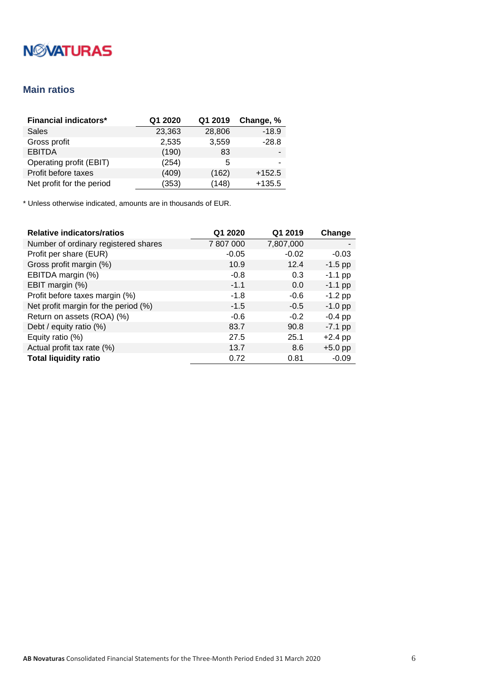### <span id="page-5-0"></span>**Main ratios**

| <b>Financial indicators*</b> | Q1 2020 | Q1 2019 | Change, % |
|------------------------------|---------|---------|-----------|
| Sales                        | 23,363  | 28,806  | $-18.9$   |
| Gross profit                 | 2,535   | 3,559   | $-28.8$   |
| <b>EBITDA</b>                | (190)   | 83      |           |
| Operating profit (EBIT)      | (254)   | 5       |           |
| Profit before taxes          | (409)   | (162)   | $+152.5$  |
| Net profit for the period    | (353)   | (148)   | $+135.5$  |

| <b>Relative indicators/ratios</b>    | Q1 2020   | Q1 2019   | Change    |
|--------------------------------------|-----------|-----------|-----------|
| Number of ordinary registered shares | 7 807 000 | 7,807,000 |           |
| Profit per share (EUR)               | $-0.05$   | $-0.02$   | $-0.03$   |
| Gross profit margin (%)              | 10.9      | 12.4      | $-1.5$ pp |
| EBITDA margin (%)                    | $-0.8$    | 0.3       | $-1.1$ pp |
| EBIT margin (%)                      | $-1.1$    | 0.0       | $-1.1$ pp |
| Profit before taxes margin (%)       | $-1.8$    | $-0.6$    | $-1.2$ pp |
| Net profit margin for the period (%) | $-1.5$    | $-0.5$    | $-1.0$ pp |
| Return on assets (ROA) (%)           | $-0.6$    | $-0.2$    | $-0.4$ pp |
| Debt / equity ratio (%)              | 83.7      | 90.8      | $-7.1$ pp |
| Equity ratio (%)                     | 27.5      | 25.1      | $+2.4$ pp |
| Actual profit tax rate (%)           | 13.7      | 8.6       | $+5.0$ pp |
| <b>Total liquidity ratio</b>         | 0.72      | 0.81      | $-0.09$   |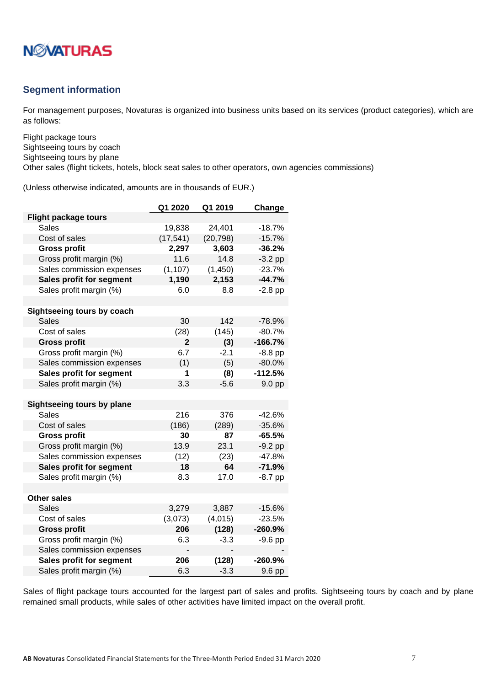

#### <span id="page-6-0"></span>**Segment information**

For management purposes, Novaturas is organized into business units based on its services (product categories), which are as follows:

Flight package tours Sightseeing tours by coach Sightseeing tours by plane Other sales (flight tickets, hotels, block seat sales to other operators, own agencies commissions)

(Unless otherwise indicated, amounts are in thousands of EUR.)

|                                   | Q1 2020        | Q1 2019   | Change    |
|-----------------------------------|----------------|-----------|-----------|
| <b>Flight package tours</b>       |                |           |           |
| Sales                             | 19,838         | 24,401    | $-18.7%$  |
| Cost of sales                     | (17, 541)      | (20, 798) | $-15.7%$  |
| <b>Gross profit</b>               | 2,297          | 3,603     | $-36.2%$  |
| Gross profit margin (%)           | 11.6           | 14.8      | $-3.2$ pp |
| Sales commission expenses         | (1, 107)       | (1, 450)  | $-23.7%$  |
| Sales profit for segment          | 1,190          | 2,153     | $-44.7%$  |
| Sales profit margin (%)           | 6.0            | 8.8       | $-2.8$ pp |
|                                   |                |           |           |
| Sightseeing tours by coach        |                |           |           |
| <b>Sales</b>                      | 30             | 142       | $-78.9%$  |
| Cost of sales                     | (28)           | (145)     | $-80.7%$  |
| <b>Gross profit</b>               | $\overline{2}$ | (3)       | $-166.7%$ |
| Gross profit margin (%)           | 6.7            | $-2.1$    | $-8.8$ pp |
| Sales commission expenses         | (1)            | (5)       | $-80.0%$  |
| Sales profit for segment          | 1              | (8)       | $-112.5%$ |
| Sales profit margin (%)           | 3.3            | $-5.6$    | 9.0 pp    |
|                                   |                |           |           |
| <b>Sightseeing tours by plane</b> |                |           |           |
| <b>Sales</b>                      | 216            | 376       | -42.6%    |
| Cost of sales                     | (186)          | (289)     | $-35.6%$  |
| <b>Gross profit</b>               | 30             | 87        | $-65.5%$  |
| Gross profit margin (%)           | 13.9           | 23.1      | $-9.2$ pp |
| Sales commission expenses         | (12)           | (23)      | -47.8%    |
| Sales profit for segment          | 18             | 64        | $-71.9%$  |
| Sales profit margin (%)           | 8.3            | 17.0      | $-8.7$ pp |
|                                   |                |           |           |
| <b>Other sales</b>                |                |           |           |
| Sales                             | 3,279          | 3,887     | -15.6%    |
| Cost of sales                     | (3,073)        | (4,015)   | $-23.5%$  |
| <b>Gross profit</b>               | 206            | (128)     | $-260.9%$ |
| Gross profit margin (%)           | 6.3            | $-3.3$    | $-9.6$ pp |
| Sales commission expenses         |                |           |           |
| Sales profit for segment          | 206            | (128)     | $-260.9%$ |
| Sales profit margin (%)           | 6.3            | $-3.3$    | 9.6 pp    |

Sales of flight package tours accounted for the largest part of sales and profits. Sightseeing tours by coach and by plane remained small products, while sales of other activities have limited impact on the overall profit.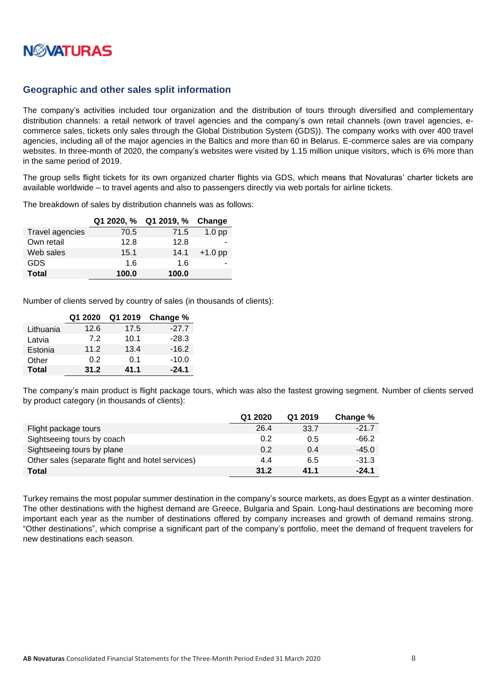

#### <span id="page-7-0"></span>**Geographic and other sales split information**

The company's activities included tour organization and the distribution of tours through diversified and complementary distribution channels: a retail network of travel agencies and the company's own retail channels (own travel agencies, ecommerce sales, tickets only sales through the Global Distribution System (GDS)). The company works with over 400 travel agencies, including all of the major agencies in the Baltics and more than 60 in Belarus. E-commerce sales are via company websites. In three-month of 2020, the company's websites were visited by 1.15 million unique visitors, which is 6% more than in the same period of 2019.

The group sells flight tickets for its own organized charter flights via GDS, which means that Novaturas' charter tickets are available worldwide – to travel agents and also to passengers directly via web portals for airline tickets.

The breakdown of sales by distribution channels was as follows:

|                 | Q1 2020, % | Q1 2019, % | Change            |
|-----------------|------------|------------|-------------------|
| Travel agencies | 70.5       | 71.5       | 1.0 <sub>pp</sub> |
| Own retail      | 12.8       | 12.8       |                   |
| Web sales       | 15.1       | 14.1       | $+1.0$ pp         |
| <b>GDS</b>      | 16         | 1.6        |                   |
| <b>Total</b>    | 100.0      | 100.0      |                   |

Number of clients served by country of sales (in thousands of clients):

|              | Q1 2020 | Q1 2019 | Change % |
|--------------|---------|---------|----------|
| Lithuania    | 12.6    | 17.5    | $-27.7$  |
| Latvia       | 7.2     | 10.1    | $-28.3$  |
| Estonia      | 11.2    | 13.4    | $-16.2$  |
| Other        | 0.2     | 0.1     | $-10.0$  |
| <b>Total</b> | 31.2    | 41.1    | $-24.1$  |

The company's main product is flight package tours, which was also the fastest growing segment. Number of clients served by product category (in thousands of clients):

|                                                  | Q1 2020 | Q1 2019 | Change % |
|--------------------------------------------------|---------|---------|----------|
| Flight package tours                             | 26.4    | 33.7    | $-21.7$  |
| Sightseeing tours by coach                       | 0.2     | 0.5     | $-66.2$  |
| Sightseeing tours by plane                       | 0.2     | 0.4     | -45.0    |
| Other sales (separate flight and hotel services) | 4.4     | 6.5     | $-31.3$  |
| Total                                            | 31.2    | 41.1    | $-24.1$  |

Turkey remains the most popular summer destination in the company's source markets, as does Egypt as a winter destination. The other destinations with the highest demand are Greece, Bulgaria and Spain. Long-haul destinations are becoming more important each year as the number of destinations offered by company increases and growth of demand remains strong. "Other destinations", which comprise a significant part of the company's portfolio, meet the demand of frequent travelers for new destinations each season.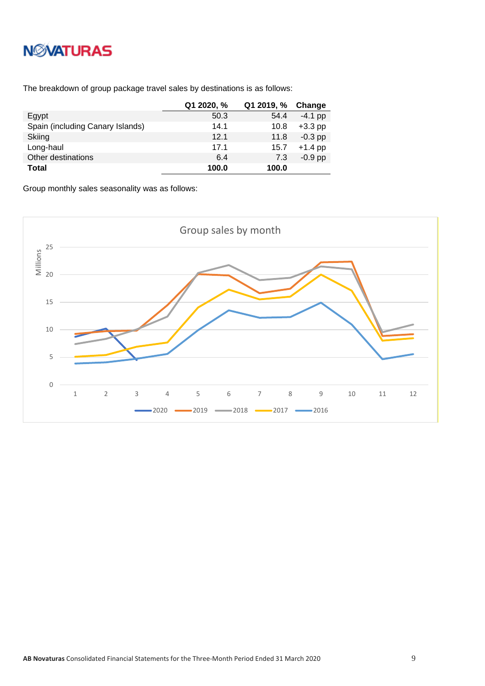# **NWATURAS**

The breakdown of group package travel sales by destinations is as follows:

|                                  | Q1 2020, % | Q1 2019, % | Change    |
|----------------------------------|------------|------------|-----------|
| Egypt                            | 50.3       | 54.4       | $-4.1$ pp |
| Spain (including Canary Islands) | 14.1       | 10.8       | $+3.3$ pp |
| Skiing                           | 12.1       | 11.8       | $-0.3$ pp |
| Long-haul                        | 17.1       | 15.7       | $+1.4$ pp |
| Other destinations               | 6.4        | 7.3        | $-0.9$ pp |
| <b>Total</b>                     | 100.0      | 100.0      |           |

Group monthly sales seasonality was as follows:

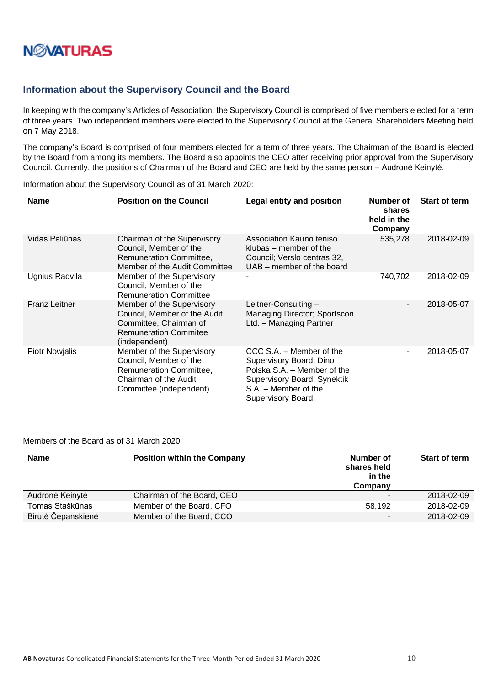

#### <span id="page-9-0"></span>**Information about the Supervisory Council and the Board**

In keeping with the company's Articles of Association, the Supervisory Council is comprised of five members elected for a term of three years. Two independent members were elected to the Supervisory Council at the General Shareholders Meeting held on 7 May 2018.

The company's Board is comprised of four members elected for a term of three years. The Chairman of the Board is elected by the Board from among its members. The Board also appoints the CEO after receiving prior approval from the Supervisory Council. Currently, the positions of Chairman of the Board and CEO are held by the same person – Audronė Keinytė.

Information about the Supervisory Council as of 31 March 2020:

| <b>Name</b>           | <b>Position on the Council</b>                                                                                                       | <b>Legal entity and position</b>                                                                                                                                | Number of<br>shares<br>held in the<br>Company | <b>Start of term</b> |
|-----------------------|--------------------------------------------------------------------------------------------------------------------------------------|-----------------------------------------------------------------------------------------------------------------------------------------------------------------|-----------------------------------------------|----------------------|
| Vidas Paliūnas        | Chairman of the Supervisory<br>Council, Member of the<br>Remuneration Committee,<br>Member of the Audit Committee                    | Association Kauno teniso<br>klubas – member of the<br>Council; Verslo centras 32,<br>UAB – member of the board                                                  | 535,278                                       | 2018-02-09           |
| Ugnius Radvila        | Member of the Supervisory<br>Council, Member of the<br><b>Remuneration Committee</b>                                                 |                                                                                                                                                                 | 740,702                                       | 2018-02-09           |
| <b>Franz Leitner</b>  | Member of the Supervisory<br>Council, Member of the Audit<br>Committee, Chairman of<br><b>Remuneration Commitee</b><br>(independent) | Leitner-Consulting-<br>Managing Director; Sportscon<br>Ltd. - Managing Partner                                                                                  |                                               | 2018-05-07           |
| <b>Piotr Nowjalis</b> | Member of the Supervisory<br>Council, Member of the<br>Remuneration Committee,<br>Chairman of the Audit<br>Committee (independent)   | CCC S.A. – Member of the<br>Supervisory Board; Dino<br>Polska S.A. - Member of the<br>Supervisory Board; Synektik<br>S.A. - Member of the<br>Supervisory Board; | Ξ.                                            | 2018-05-07           |

Members of the Board as of 31 March 2020:

| <b>Name</b>        | <b>Position within the Company</b> | Number of<br>shares held<br>in the<br>Company | <b>Start of term</b> |
|--------------------|------------------------------------|-----------------------------------------------|----------------------|
| Audronė Keinytė    | Chairman of the Board, CEO         |                                               | 2018-02-09           |
| Tomas Staškūnas    | Member of the Board, CFO           | 58.192                                        | 2018-02-09           |
| Birutė Čepanskienė | Member of the Board, CCO           | $\overline{\phantom{0}}$                      | 2018-02-09           |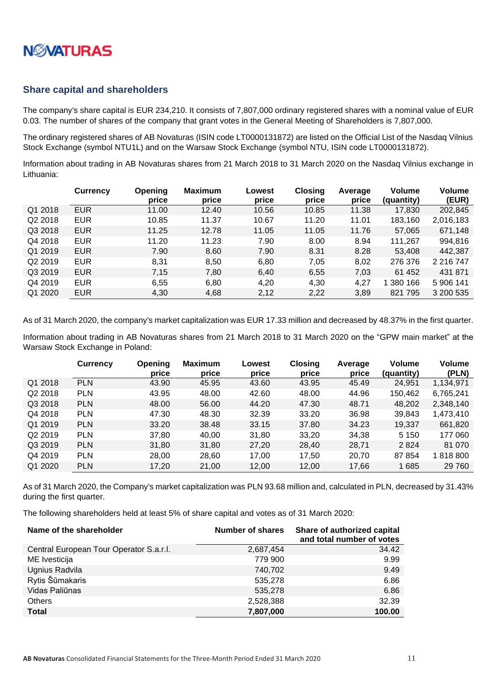

#### <span id="page-10-0"></span>**Share capital and shareholders**

The company's share capital is EUR 234,210. It consists of 7,807,000 ordinary registered shares with a nominal value of EUR 0.03. The number of shares of the company that grant votes in the General Meeting of Shareholders is 7,807,000.

The ordinary registered shares of AB Novaturas (ISIN code LT0000131872) are listed on the Official List of the Nasdaq Vilnius Stock Exchange (symbol NTU1L) and on the Warsaw Stock Exchange (symbol NTU, ISIN code LT0000131872).

Information about trading in AB Novaturas shares from 21 March 2018 to 31 March 2020 on the Nasdaq Vilnius exchange in Lithuania:

|                     | <b>Currency</b> | Opening<br>price | <b>Maximum</b><br>price | Lowest<br>price | Closing<br>price | Average<br>price | <b>Volume</b><br>(quantity) | Volume<br>(EUR) |
|---------------------|-----------------|------------------|-------------------------|-----------------|------------------|------------------|-----------------------------|-----------------|
| Q1 2018             | <b>EUR</b>      | 11.00            | 12.40                   | 10.56           | 10.85            | 11.38            | 17,830                      | 202,845         |
| Q2 2018             | <b>EUR</b>      | 10.85            | 11.37                   | 10.67           | 11.20            | 11.01            | 183,160                     | 2,016,183       |
| Q3 2018             | <b>EUR</b>      | 11.25            | 12.78                   | 11.05           | 11.05            | 11.76            | 57,065                      | 671,148         |
| Q4 2018             | <b>EUR</b>      | 11.20            | 11.23                   | 7.90            | 8.00             | 8.94             | 111,267                     | 994,816         |
| Q1 2019             | <b>EUR</b>      | 7.90             | 8.60                    | 7.90            | 8.31             | 8.28             | 53.408                      | 442,387         |
| Q <sub>2</sub> 2019 | <b>EUR</b>      | 8,31             | 8.50                    | 6,80            | 7,05             | 8,02             | 276 376                     | 2 2 1 6 7 4 7   |
| Q3 2019             | <b>EUR</b>      | 7,15             | 7,80                    | 6,40            | 6,55             | 7,03             | 61 452                      | 431 871         |
| Q4 2019             | <b>EUR</b>      | 6.55             | 6,80                    | 4,20            | 4,30             | 4,27             | 1 380 166                   | 5 906 141       |
| Q1 2020             | <b>EUR</b>      | 4.30             | 4,68                    | 2.12            | 2,22             | 3,89             | 821 795                     | 3 200 535       |

As of 31 March 2020, the company's market capitalization was EUR 17.33 million and decreased by 48.37% in the first quarter.

Information about trading in AB Novaturas shares from 21 March 2018 to 31 March 2020 on the "GPW main market" at the Warsaw Stock Exchange in Poland:

|                     | <b>Currency</b> | <b>Opening</b><br>price | <b>Maximum</b><br>price | Lowest<br>price | <b>Closing</b><br>price | Average<br>price | <b>Volume</b><br>(quantity) | <b>Volume</b><br>(PLN) |
|---------------------|-----------------|-------------------------|-------------------------|-----------------|-------------------------|------------------|-----------------------------|------------------------|
| Q1 2018             | <b>PLN</b>      | 43.90                   | 45.95                   | 43.60           | 43.95                   | 45.49            | 24,951                      | 1,134,971              |
| Q2 2018             | <b>PLN</b>      | 43.95                   | 48.00                   | 42.60           | 48.00                   | 44.96            | 150,462                     | 6,765,241              |
| Q3 2018             | <b>PLN</b>      | 48.00                   | 56.00                   | 44.20           | 47.30                   | 48.71            | 48,202                      | 2,348,140              |
| Q4 2018             | <b>PLN</b>      | 47.30                   | 48.30                   | 32.39           | 33.20                   | 36.98            | 39,843                      | 1,473,410              |
| Q1 2019             | <b>PLN</b>      | 33.20                   | 38.48                   | 33.15           | 37.80                   | 34.23            | 19.337                      | 661,820                |
| Q <sub>2</sub> 2019 | <b>PLN</b>      | 37,80                   | 40.00                   | 31,80           | 33,20                   | 34,38            | 5 1 5 0                     | 177 060                |
| Q3 2019             | <b>PLN</b>      | 31,80                   | 31,80                   | 27,20           | 28,40                   | 28,71            | 2824                        | 81 0 70                |
| Q4 2019             | <b>PLN</b>      | 28,00                   | 28,60                   | 17,00           | 17,50                   | 20,70            | 87 854                      | 1818800                |
| Q1 2020             | <b>PLN</b>      | 17,20                   | 21,00                   | 12,00           | 12,00                   | 17,66            | 1685                        | 29 760                 |

As of 31 March 2020, the Company's market capitalization was PLN 93.68 million and, calculated in PLN, decreased by 31.43% during the first quarter.

The following shareholders held at least 5% of share capital and votes as of 31 March 2020:

| Name of the shareholder                 | <b>Number of shares</b> | Share of authorized capital<br>and total number of votes |
|-----------------------------------------|-------------------------|----------------------------------------------------------|
| Central European Tour Operator S.a.r.l. | 2,687,454               | 34.42                                                    |
| ME Ivesticija                           | 779 900                 | 9.99                                                     |
| Ugnius Radvila                          | 740,702                 | 9.49                                                     |
| Rytis Šūmakaris                         | 535,278                 | 6.86                                                     |
| Vidas Paliūnas                          | 535,278                 | 6.86                                                     |
| Others                                  | 2,528,388               | 32.39                                                    |
| <b>Total</b>                            | 7,807,000               | 100.00                                                   |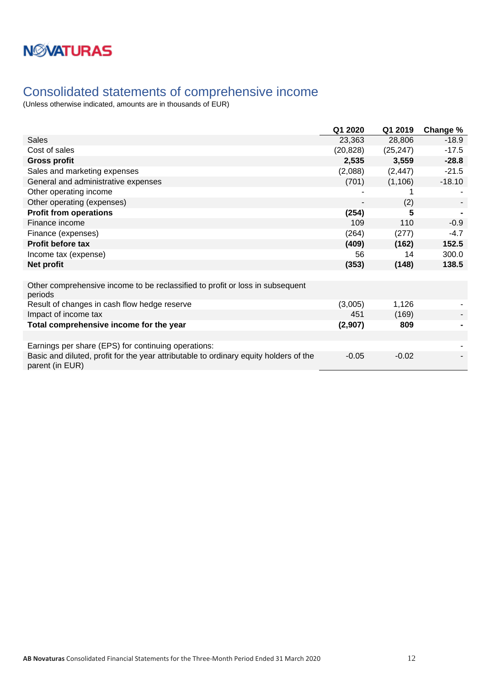### <span id="page-11-0"></span>Consolidated statements of comprehensive income

|                                                                                                          | Q1 2020   | Q1 2019   | Change % |
|----------------------------------------------------------------------------------------------------------|-----------|-----------|----------|
| <b>Sales</b>                                                                                             | 23,363    | 28,806    | $-18.9$  |
| Cost of sales                                                                                            | (20, 828) | (25, 247) | $-17.5$  |
| <b>Gross profit</b>                                                                                      | 2,535     | 3,559     | $-28.8$  |
| Sales and marketing expenses                                                                             | (2,088)   | (2, 447)  | $-21.5$  |
| General and administrative expenses                                                                      | (701)     | (1, 106)  | $-18.10$ |
| Other operating income                                                                                   |           |           |          |
| Other operating (expenses)                                                                               |           | (2)       |          |
| <b>Profit from operations</b>                                                                            | (254)     | 5         |          |
| Finance income                                                                                           | 109       | 110       | $-0.9$   |
| Finance (expenses)                                                                                       | (264)     | (277)     | $-4.7$   |
| <b>Profit before tax</b>                                                                                 | (409)     | (162)     | 152.5    |
| Income tax (expense)                                                                                     | 56        | 14        | 300.0    |
| Net profit                                                                                               | (353)     | (148)     | 138.5    |
|                                                                                                          |           |           |          |
| Other comprehensive income to be reclassified to profit or loss in subsequent<br>periods                 |           |           |          |
| Result of changes in cash flow hedge reserve                                                             | (3,005)   | 1,126     |          |
| Impact of income tax                                                                                     | 451       | (169)     |          |
| Total comprehensive income for the year                                                                  | (2,907)   | 809       |          |
|                                                                                                          |           |           |          |
| Earnings per share (EPS) for continuing operations:                                                      |           |           |          |
| Basic and diluted, profit for the year attributable to ordinary equity holders of the<br>parent (in EUR) | $-0.05$   | $-0.02$   |          |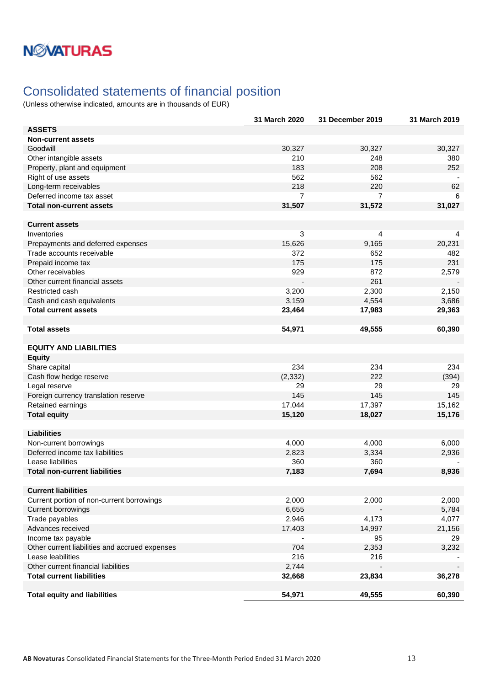### <span id="page-12-0"></span>Consolidated statements of financial position

|                                                | 31 March 2020 | 31 December 2019 | 31 March 2019 |
|------------------------------------------------|---------------|------------------|---------------|
| <b>ASSETS</b>                                  |               |                  |               |
| <b>Non-current assets</b>                      |               |                  |               |
| Goodwill                                       | 30,327        | 30,327           | 30,327        |
| Other intangible assets                        | 210           | 248              | 380           |
| Property, plant and equipment                  | 183           | 208              | 252           |
| Right of use assets                            | 562           | 562              |               |
| Long-term receivables                          | 218           | 220              | 62            |
| Deferred income tax asset                      | 7             | $\overline{7}$   | 6             |
| <b>Total non-current assets</b>                | 31,507        | 31,572           | 31,027        |
|                                                |               |                  |               |
| <b>Current assets</b>                          |               |                  |               |
| Inventories                                    | 3             | 4                | 4             |
| Prepayments and deferred expenses              | 15,626        | 9,165            | 20,231        |
| Trade accounts receivable                      | 372           | 652              | 482           |
| Prepaid income tax                             | 175           | 175              | 231           |
| Other receivables                              | 929           | 872              | 2,579         |
| Other current financial assets                 |               | 261              |               |
| Restricted cash                                | 3,200         | 2,300            | 2,150         |
| Cash and cash equivalents                      | 3,159         | 4,554            | 3,686         |
| <b>Total current assets</b>                    | 23,464        | 17,983           | 29,363        |
|                                                |               |                  |               |
| <b>Total assets</b>                            | 54,971        | 49,555           | 60,390        |
|                                                |               |                  |               |
| <b>EQUITY AND LIABILITIES</b>                  |               |                  |               |
| <b>Equity</b>                                  |               |                  |               |
| Share capital                                  | 234           | 234              | 234           |
| Cash flow hedge reserve                        | (2, 332)      | 222              | (394)         |
| Legal reserve                                  | 29            | 29               | 29            |
| Foreign currency translation reserve           | 145           | 145              | 145           |
| Retained earnings                              | 17,044        | 17,397           | 15,162        |
| <b>Total equity</b>                            | 15,120        | 18,027           | 15,176        |
|                                                |               |                  |               |
| <b>Liabilities</b>                             |               |                  |               |
| Non-current borrowings                         | 4,000         | 4,000            | 6,000         |
| Deferred income tax liabilities                | 2,823         | 3,334            | 2,936         |
| Lease liabilities                              | 360           | 360              |               |
| Total non-current liabilities                  | 7,183         | 7,694            | 8,936         |
|                                                |               |                  |               |
| <b>Current liabilities</b>                     |               |                  |               |
| Current portion of non-current borrowings      | 2,000         | 2,000            | 2,000         |
|                                                |               |                  |               |
| Current borrowings                             | 6,655         |                  | 5,784         |
| Trade payables                                 | 2,946         | 4,173            | 4,077         |
| Advances received                              | 17,403        | 14,997           | 21,156        |
| Income tax payable                             |               | 95               | 29            |
| Other current liabilities and accrued expenses | 704           | 2,353            | 3,232         |
| Lease leabilities                              | 216           | 216              |               |
| Other current financial liabilities            | 2,744         |                  |               |
| <b>Total current liabilities</b>               | 32,668        | 23,834           | 36,278        |
|                                                |               |                  |               |
| <b>Total equity and liabilities</b>            | 54,971        | 49,555           | 60,390        |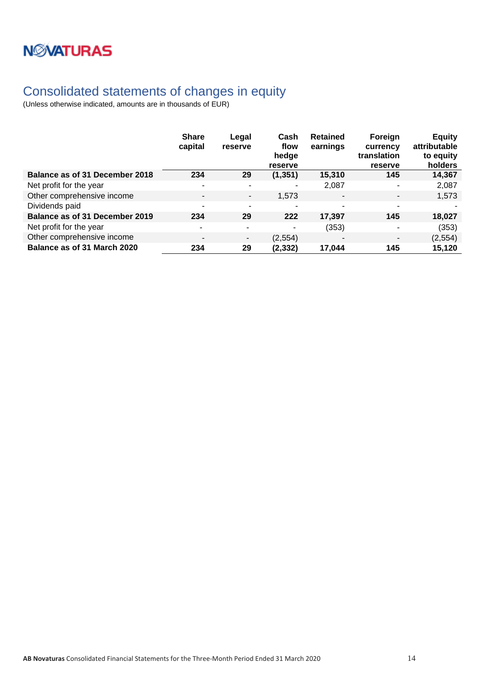

### <span id="page-13-0"></span>Consolidated statements of changes in equity

|                                | <b>Share</b><br>capital  | Legal<br>reserve         | Cash<br>flow<br>hedge<br>reserve | <b>Retained</b><br>earnings | Foreign<br>currency<br>translation<br>reserve | <b>Equity</b><br>attributable<br>to equity<br>holders |
|--------------------------------|--------------------------|--------------------------|----------------------------------|-----------------------------|-----------------------------------------------|-------------------------------------------------------|
| Balance as of 31 December 2018 | 234                      | 29                       | (1, 351)                         | 15,310                      | 145                                           | 14,367                                                |
| Net profit for the year        | $\overline{\phantom{a}}$ | ٠                        | ۰                                | 2,087                       | ٠                                             | 2,087                                                 |
| Other comprehensive income     | $\overline{\phantom{a}}$ | $\overline{\phantom{a}}$ | 1,573                            | $\overline{\phantom{a}}$    | $\overline{\phantom{a}}$                      | 1,573                                                 |
| Dividends paid                 | $\overline{\phantom{a}}$ | $\overline{\phantom{0}}$ |                                  |                             | ٠                                             |                                                       |
| Balance as of 31 December 2019 | 234                      | 29                       | 222                              | 17,397                      | 145                                           | 18,027                                                |
| Net profit for the year        | $\overline{\phantom{a}}$ | ۰                        | ۰                                | (353)                       | ٠                                             | (353)                                                 |
| Other comprehensive income     | $\overline{\phantom{a}}$ | ۰.                       | (2, 554)                         | $\overline{\phantom{a}}$    | $\blacksquare$                                | (2, 554)                                              |
| Balance as of 31 March 2020    | 234                      | 29                       | (2,332)                          | 17.044                      | 145                                           | 15,120                                                |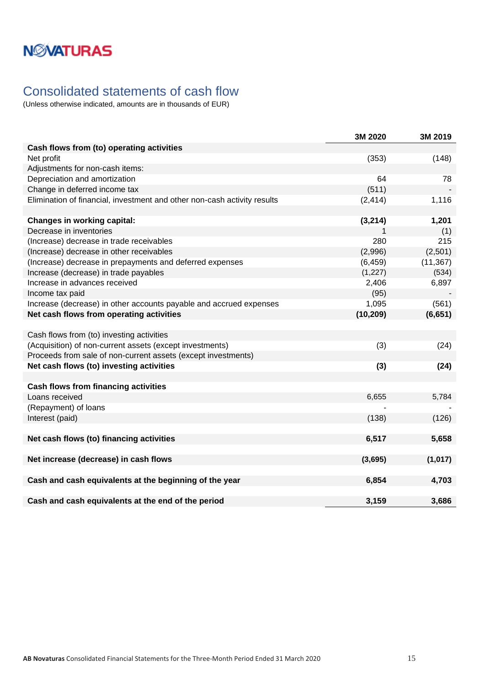## <span id="page-14-0"></span>Consolidated statements of cash flow

|                                                                          | 3M 2020   | 3M 2019   |
|--------------------------------------------------------------------------|-----------|-----------|
| Cash flows from (to) operating activities                                |           |           |
| Net profit                                                               | (353)     | (148)     |
| Adjustments for non-cash items:                                          |           |           |
| Depreciation and amortization                                            | 64        | 78        |
| Change in deferred income tax                                            | (511)     |           |
| Elimination of financial, investment and other non-cash activity results | (2, 414)  | 1,116     |
|                                                                          |           |           |
| <b>Changes in working capital:</b>                                       | (3, 214)  | 1,201     |
| Decrease in inventories                                                  | 1         | (1)       |
| (Increase) decrease in trade receivables                                 | 280       | 215       |
| (Increase) decrease in other receivables                                 | (2,996)   | (2,501)   |
| (Increase) decrease in prepayments and deferred expenses                 | (6, 459)  | (11, 367) |
| Increase (decrease) in trade payables                                    | (1, 227)  | (534)     |
| Increase in advances received                                            | 2,406     | 6,897     |
| Income tax paid                                                          | (95)      |           |
| Increase (decrease) in other accounts payable and accrued expenses       | 1,095     | (561)     |
| Net cash flows from operating activities                                 | (10, 209) | (6, 651)  |
|                                                                          |           |           |
| Cash flows from (to) investing activities                                |           |           |
| (Acquisition) of non-current assets (except investments)                 | (3)       | (24)      |
| Proceeds from sale of non-current assets (except investments)            |           |           |
| Net cash flows (to) investing activities                                 | (3)       | (24)      |
|                                                                          |           |           |
| <b>Cash flows from financing activities</b>                              |           |           |
| Loans received                                                           | 6,655     | 5,784     |
| (Repayment) of loans                                                     |           |           |
| Interest (paid)                                                          | (138)     | (126)     |
|                                                                          |           |           |
| Net cash flows (to) financing activities                                 | 6,517     | 5,658     |
|                                                                          |           |           |
| Net increase (decrease) in cash flows                                    | (3,695)   | (1,017)   |
|                                                                          |           |           |
| Cash and cash equivalents at the beginning of the year                   | 6,854     | 4,703     |
|                                                                          |           |           |
| Cash and cash equivalents at the end of the period                       | 3,159     | 3,686     |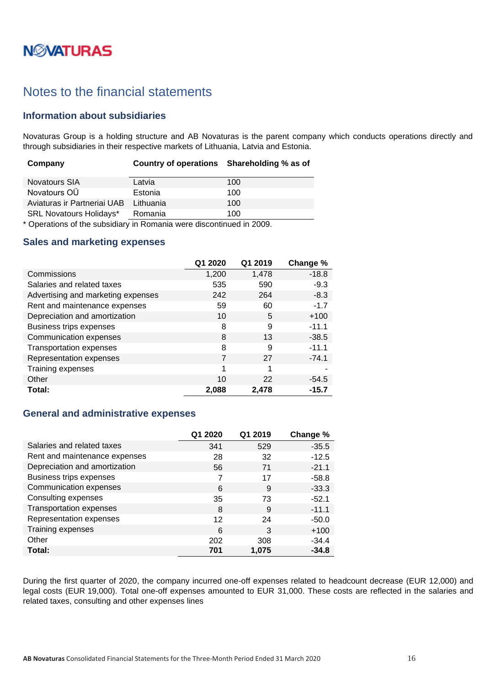# **N***N***XATURAS**

### <span id="page-15-0"></span>Notes to the financial statements

#### <span id="page-15-1"></span>**Information about subsidiaries**

Novaturas Group is a holding structure and AB Novaturas is the parent company which conducts operations directly and through subsidiaries in their respective markets of Lithuania, Latvia and Estonia.

| Company                        | Country of operations Shareholding % as of |     |
|--------------------------------|--------------------------------------------|-----|
| <b>Novatours SIA</b>           | Latvia                                     | 100 |
| Novatours OÜ                   | Estonia                                    | 100 |
| Aviaturas ir Partneriai UAB    | Lithuania                                  | 100 |
| <b>SRL Novatours Holidays*</b> | Romania                                    | 100 |

\* Operations of the subsidiary in Romania were discontinued in 2009.

#### <span id="page-15-2"></span>**Sales and marketing expenses**

|                                    | Q1 2020 | Q1 2019 | Change % |
|------------------------------------|---------|---------|----------|
| Commissions                        | 1,200   | 1,478   | $-18.8$  |
| Salaries and related taxes         | 535     | 590     | $-9.3$   |
| Advertising and marketing expenses | 242     | 264     | $-8.3$   |
| Rent and maintenance expenses      | 59      | 60      | $-1.7$   |
| Depreciation and amortization      | 10      | 5       | $+100$   |
| Business trips expenses            | 8       | 9       | $-11.1$  |
| Communication expenses             | 8       | 13      | $-38.5$  |
| <b>Transportation expenses</b>     | 8       | 9       | $-11.1$  |
| Representation expenses            | 7       | 27      | $-74.1$  |
| Training expenses                  | 1       | 1       |          |
| Other                              | 10      | 22      | $-54.5$  |
| Total:                             | 2,088   | 2,478   | -15.7    |

### <span id="page-15-3"></span>**General and administrative expenses**

|                                | Q1 2020 | Q1 2019 | Change % |
|--------------------------------|---------|---------|----------|
| Salaries and related taxes     | 341     | 529     | $-35.5$  |
| Rent and maintenance expenses  | 28      | 32      | $-12.5$  |
| Depreciation and amortization  | 56      | 71      | $-21.1$  |
| Business trips expenses        |         | 17      | $-58.8$  |
| Communication expenses         | 6       | 9       | $-33.3$  |
| Consulting expenses            | 35      | 73      | $-52.1$  |
| <b>Transportation expenses</b> | 8       | 9       | $-11.1$  |
| Representation expenses        | 12      | 24      | $-50.0$  |
| Training expenses              | 6       | 3       | $+100$   |
| Other                          | 202     | 308     | $-34.4$  |
| Total:                         | 701     | 1,075   | $-34.8$  |

During the first quarter of 2020, the company incurred one-off expenses related to headcount decrease (EUR 12,000) and legal costs (EUR 19,000). Total one-off expenses amounted to EUR 31,000. These costs are reflected in the salaries and related taxes, consulting and other expenses lines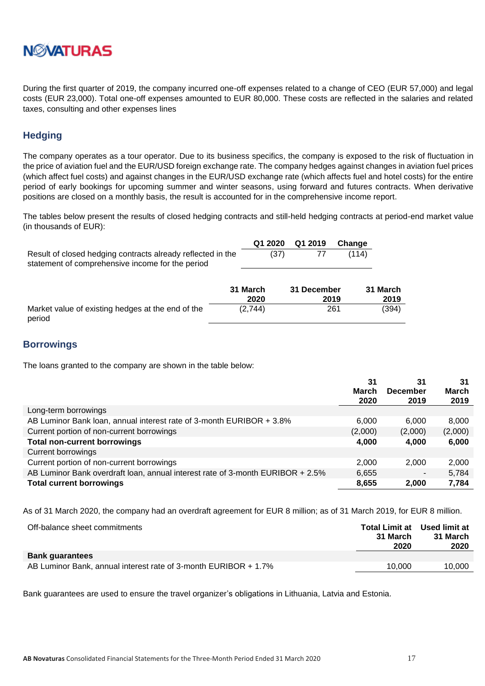

During the first quarter of 2019, the company incurred one-off expenses related to a change of CEO (EUR 57,000) and legal costs (EUR 23,000). Total one-off expenses amounted to EUR 80,000. These costs are reflected in the salaries and related taxes, consulting and other expenses lines

### <span id="page-16-0"></span>**Hedging**

The company operates as a tour operator. Due to its business specifics, the company is exposed to the risk of fluctuation in the price of aviation fuel and the EUR/USD foreign exchange rate. The company hedges against changes in aviation fuel prices (which affect fuel costs) and against changes in the EUR/USD exchange rate (which affects fuel and hotel costs) for the entire period of early bookings for upcoming summer and winter seasons, using forward and futures contracts. When derivative positions are closed on a monthly basis, the result is accounted for in the comprehensive income report.

The tables below present the results of closed hedging contracts and still-held hedging contracts at period-end market value (in thousands of EUR):

|                                                             |      | Q1 2020 Q1 2019 Change |       |
|-------------------------------------------------------------|------|------------------------|-------|
| Result of closed hedging contracts already reflected in the | (37) |                        | (114) |
| statement of comprehensive income for the period            |      |                        |       |

|                                                             | 31 March | 31 December | 31 March |
|-------------------------------------------------------------|----------|-------------|----------|
|                                                             | 2020     | 2019        | 2019     |
| Market value of existing hedges at the end of the<br>period | (2,744)  | 261         | (394)    |

#### <span id="page-16-1"></span>**Borrowings**

The loans granted to the company are shown in the table below:

|                                                                                | 31           | 31              | 31           |
|--------------------------------------------------------------------------------|--------------|-----------------|--------------|
|                                                                                | <b>March</b> | <b>December</b> | <b>March</b> |
|                                                                                | 2020         | 2019            | 2019         |
| Long-term borrowings                                                           |              |                 |              |
| AB Luminor Bank Ioan, annual interest rate of 3-month EURIBOR + 3.8%           | 6,000        | 6,000           | 8,000        |
| Current portion of non-current borrowings                                      | (2,000)      | (2,000)         | (2,000)      |
| <b>Total non-current borrowings</b>                                            | 4,000        | 4,000           | 6,000        |
| <b>Current borrowings</b>                                                      |              |                 |              |
| Current portion of non-current borrowings                                      | 2,000        | 2,000           | 2,000        |
| AB Luminor Bank overdraft loan, annual interest rate of 3-month EURIBOR + 2.5% | 6,655        |                 | 5,784        |
| <b>Total current borrowings</b>                                                | 8,655        | 2,000           | 7,784        |

As of 31 March 2020, the company had an overdraft agreement for EUR 8 million; as of 31 March 2019, for EUR 8 million.

| Off-balance sheet commitments                                   | 31 March<br>2020 | <b>Total Limit at Used limit at</b><br>31 March<br>2020 |
|-----------------------------------------------------------------|------------------|---------------------------------------------------------|
| <b>Bank guarantees</b>                                          |                  |                                                         |
| AB Luminor Bank, annual interest rate of 3-month EURIBOR + 1.7% | 10.000           | 10.000                                                  |

Bank guarantees are used to ensure the travel organizer's obligations in Lithuania, Latvia and Estonia.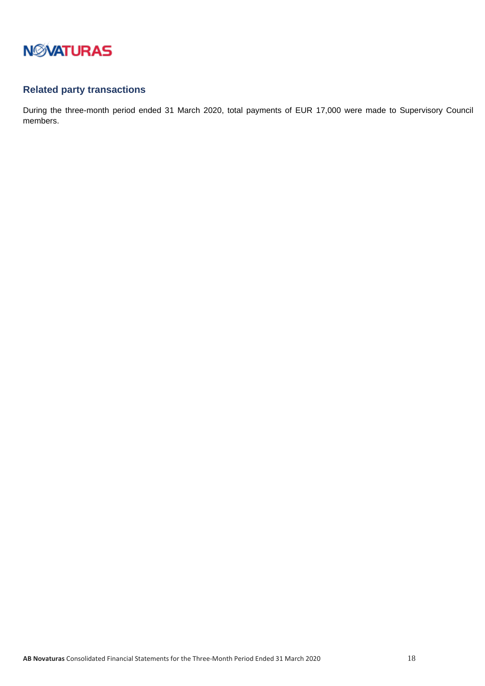

### <span id="page-17-0"></span>**Related party transactions**

During the three-month period ended 31 March 2020, total payments of EUR 17,000 were made to Supervisory Council members.